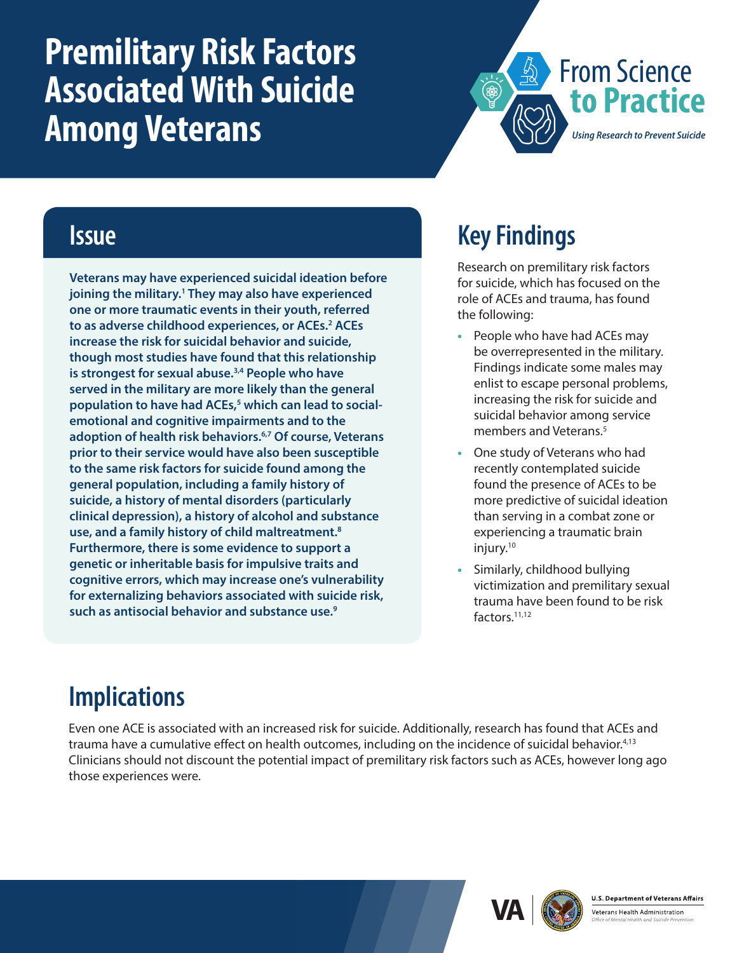# <span id="page-0-0"></span>**Premilitary Risk Factors Associated With Suicide Among Veterans**



#### **Issue**

**Veterans may have experienced suicidal ideation before joining the military.[1](#page-1-0) They may also have experienced one or more traumatic events in their youth, referred to as adverse childhood experiences, or ACEs.[2](#page-1-0) ACEs increase the risk for suicidal behavior and suicide, though most studies have found that this relationship is strongest for sexual abuse[.3,4](#page-1-0) People who have served in the military are more likely than the general population to have had ACEs,[5](#page-1-0) which can lead to socialemotional and cognitive impairments and to the adoption of health risk behaviors[.6,7](#page-1-0) Of course, Veterans prior to their service would have also been susceptible to the same risk factors for suicide found among the general population, including a family history of suicide, a history of mental disorders (particularly clinical depression), a history of alcohol and substance use, and a family history of child maltreatment[.8](#page-1-0) Furthermore, there is some evidence to support a genetic or inheritable basis for impulsive traits and cognitive errors, which may increase one's vulnerability for externalizing behaviors associated with suicide risk, such as antisocial behavior and substance use.[9](#page-1-0)**

# **Key Findings**

Research on premilitary risk factors for suicide, which has focused on the role of ACEs and trauma, has found the following:

- **•** People who have had ACEs may be overrepresented in the military. Findings indicate some males may enlist to escape personal problems, increasing the risk for suicide and suicidal behavior among service members and Veterans.<sup>5</sup>
- **•** One study of Veterans who had recently contemplated suicide found the presence of ACEs to be more predictive of suicidal ideation than serving in a combat zone or experiencing a traumatic brain injury.<sup>10</sup>
- **•** Similarly, childhood bullying victimization and premilitary sexual trauma have been found to be risk factors[.11,12](#page-1-0)

# **Implications**

Even one ACE is associated with an increased risk for suicide. Additionally, research has found that ACEs and trauma have a cumulative effect on health outcomes, including on the incidence of suicidal behavior.[4,13](#page-1-0) Clinicians should not discount the potential impact of premilitary risk factors such as ACEs, however long ago those experiences were.





Veterans Health Administration